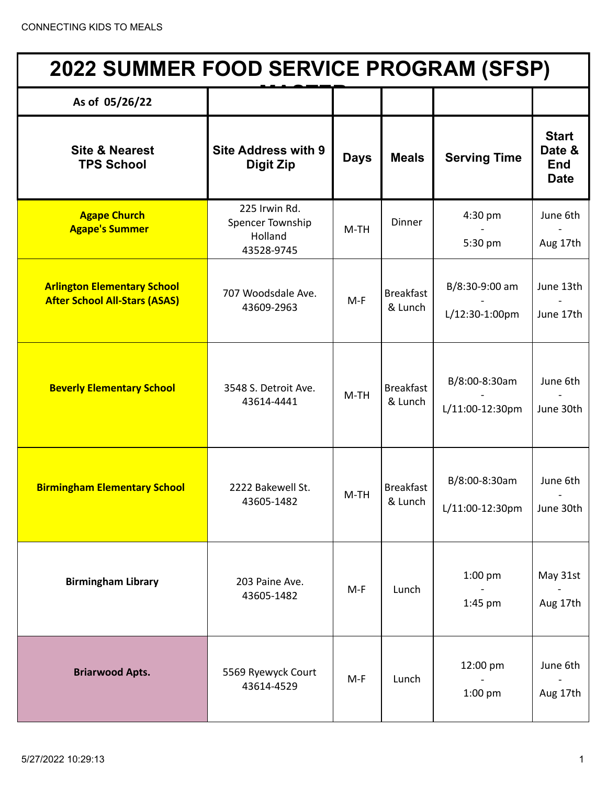| <b>2022 SUMMER FOOD SERVICE PROGRAM (SFSP)</b>                             |                                                            |             |                             |                                  |                                                     |  |
|----------------------------------------------------------------------------|------------------------------------------------------------|-------------|-----------------------------|----------------------------------|-----------------------------------------------------|--|
| As of 05/26/22                                                             |                                                            |             |                             |                                  |                                                     |  |
| <b>Site &amp; Nearest</b><br><b>TPS School</b>                             | <b>Site Address with 9</b><br><b>Digit Zip</b>             | <b>Days</b> | <b>Meals</b>                | <b>Serving Time</b>              | <b>Start</b><br>Date &<br><b>End</b><br><b>Date</b> |  |
| <b>Agape Church</b><br><b>Agape's Summer</b>                               | 225 Irwin Rd.<br>Spencer Township<br>Holland<br>43528-9745 | $M-TH$      | Dinner                      | 4:30 pm<br>5:30 pm               | June 6th<br>Aug 17th                                |  |
| <b>Arlington Elementary School</b><br><b>After School All-Stars (ASAS)</b> | 707 Woodsdale Ave.<br>43609-2963                           | $M-F$       | <b>Breakfast</b><br>& Lunch | B/8:30-9:00 am<br>L/12:30-1:00pm | June 13th<br>June 17th                              |  |
| <b>Beverly Elementary School</b>                                           | 3548 S. Detroit Ave.<br>43614-4441                         | $M-TH$      | <b>Breakfast</b><br>& Lunch | B/8:00-8:30am<br>L/11:00-12:30pm | June 6th<br>June 30th                               |  |
| <b>Birmingham Elementary School</b>                                        | 2222 Bakewell St.<br>43605-1482                            | M-TH        | <b>Breakfast</b><br>& Lunch | B/8:00-8:30am<br>L/11:00-12:30pm | June 6th<br>June 30th                               |  |
| <b>Birmingham Library</b>                                                  | 203 Paine Ave.<br>43605-1482                               | $M-F$       | Lunch                       | 1:00 pm<br>1:45 pm               | May 31st<br>Aug 17th                                |  |
| <b>Briarwood Apts.</b>                                                     | 5569 Ryewyck Court<br>43614-4529                           | $M-F$       | Lunch                       | 12:00 pm<br>1:00 pm              | June 6th<br>Aug 17th                                |  |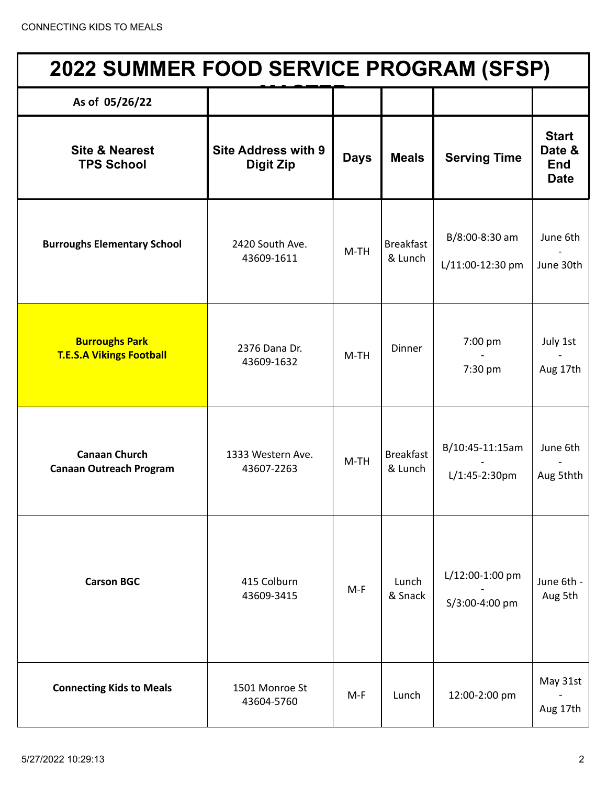| <b>2022 SUMMER FOOD SERVICE PROGRAM (SFSP)</b>           |                                                |             |                             |                                     |                                                     |  |
|----------------------------------------------------------|------------------------------------------------|-------------|-----------------------------|-------------------------------------|-----------------------------------------------------|--|
| As of 05/26/22                                           |                                                |             |                             |                                     |                                                     |  |
| <b>Site &amp; Nearest</b><br><b>TPS School</b>           | <b>Site Address with 9</b><br><b>Digit Zip</b> | <b>Days</b> | <b>Meals</b>                | <b>Serving Time</b>                 | <b>Start</b><br>Date &<br><b>End</b><br><b>Date</b> |  |
| <b>Burroughs Elementary School</b>                       | 2420 South Ave.<br>43609-1611                  | $M-TH$      | <b>Breakfast</b><br>& Lunch | B/8:00-8:30 am<br>L/11:00-12:30 pm  | June 6th<br>June 30th                               |  |
| <b>Burroughs Park</b><br><b>T.E.S.A Vikings Football</b> | 2376 Dana Dr.<br>43609-1632                    | $M-TH$      | Dinner                      | 7:00 pm<br>7:30 pm                  | July 1st<br>Aug 17th                                |  |
| <b>Canaan Church</b><br><b>Canaan Outreach Program</b>   | 1333 Western Ave.<br>43607-2263                | $M-TH$      | <b>Breakfast</b><br>& Lunch | B/10:45-11:15am<br>$L/1:45-2:30$ pm | June 6th<br>Aug 5thth                               |  |
| <b>Carson BGC</b>                                        | 415 Colburn<br>43609-3415                      | $M-F$       | Lunch<br>& Snack            | L/12:00-1:00 pm<br>S/3:00-4:00 pm   | June 6th -<br>Aug 5th                               |  |
| <b>Connecting Kids to Meals</b>                          | 1501 Monroe St<br>43604-5760                   | $M-F$       | Lunch                       | 12:00-2:00 pm                       | May 31st<br>Aug 17th                                |  |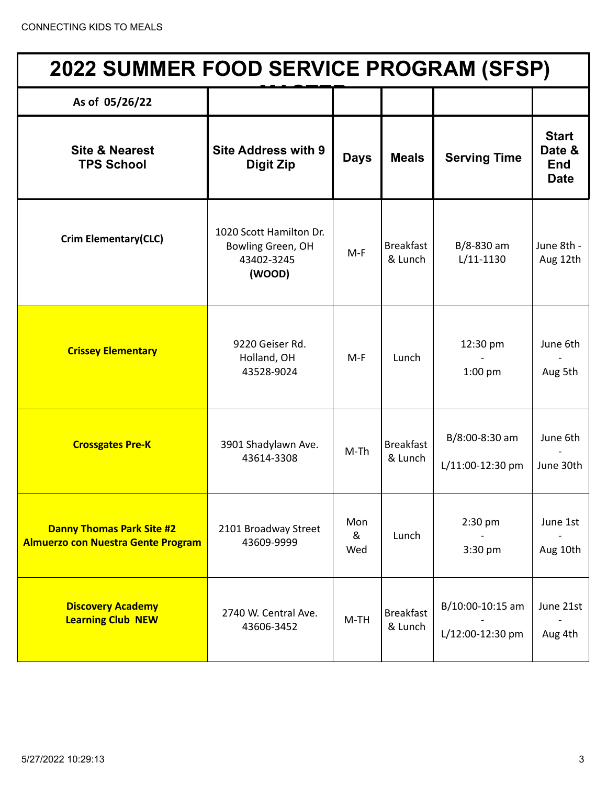| <b>2022 SUMMER FOOD SERVICE PROGRAM (SFSP)</b>                                |                                                                      |                 |                             |                                      |                                                     |  |
|-------------------------------------------------------------------------------|----------------------------------------------------------------------|-----------------|-----------------------------|--------------------------------------|-----------------------------------------------------|--|
| As of 05/26/22                                                                |                                                                      |                 |                             |                                      |                                                     |  |
| <b>Site &amp; Nearest</b><br><b>TPS School</b>                                | <b>Site Address with 9</b><br><b>Digit Zip</b>                       | <b>Days</b>     | <b>Meals</b>                | <b>Serving Time</b>                  | <b>Start</b><br>Date &<br><b>End</b><br><b>Date</b> |  |
| <b>Crim Elementary(CLC)</b>                                                   | 1020 Scott Hamilton Dr.<br>Bowling Green, OH<br>43402-3245<br>(WOOD) | $M-F$           | <b>Breakfast</b><br>& Lunch | B/8-830 am<br>$L/11-1130$            | June 8th -<br>Aug 12th                              |  |
| <b>Crissey Elementary</b>                                                     | 9220 Geiser Rd.<br>Holland, OH<br>43528-9024                         | $M-F$           | Lunch                       | 12:30 pm<br>$1:00$ pm                | June 6th<br>Aug 5th                                 |  |
| <b>Crossgates Pre-K</b>                                                       | 3901 Shadylawn Ave.<br>43614-3308                                    | $M-Th$          | <b>Breakfast</b><br>& Lunch | B/8:00-8:30 am<br>L/11:00-12:30 pm   | June 6th<br>June 30th                               |  |
| <b>Danny Thomas Park Site #2</b><br><b>Almuerzo con Nuestra Gente Program</b> | 2101 Broadway Street<br>43609-9999                                   | Mon<br>&<br>Wed | Lunch                       | $2:30$ pm<br>3:30 pm                 | June 1st<br>Aug 10th                                |  |
| <b>Discovery Academy</b><br><b>Learning Club NEW</b>                          | 2740 W. Central Ave.<br>43606-3452                                   | $M-TH$          | <b>Breakfast</b><br>& Lunch | B/10:00-10:15 am<br>L/12:00-12:30 pm | June 21st<br>Aug 4th                                |  |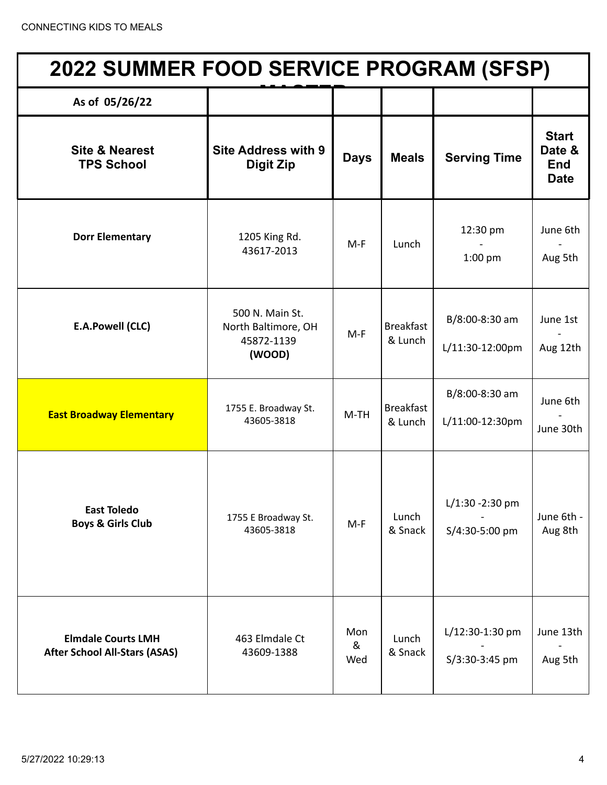| 2022 SUMMER FOOD SERVICE PROGRAM (SFSP)                           |                                                                |                 |                             |                                      |                                                     |  |  |
|-------------------------------------------------------------------|----------------------------------------------------------------|-----------------|-----------------------------|--------------------------------------|-----------------------------------------------------|--|--|
| As of 05/26/22                                                    |                                                                |                 |                             |                                      |                                                     |  |  |
| <b>Site &amp; Nearest</b><br><b>TPS School</b>                    | <b>Site Address with 9</b><br><b>Digit Zip</b>                 | <b>Days</b>     | <b>Meals</b>                | <b>Serving Time</b>                  | <b>Start</b><br>Date &<br><b>End</b><br><b>Date</b> |  |  |
| <b>Dorr Elementary</b>                                            | 1205 King Rd.<br>43617-2013                                    | $M-F$           | Lunch                       | 12:30 pm<br>$1:00$ pm                | June 6th<br>Aug 5th                                 |  |  |
| <b>E.A.Powell (CLC)</b>                                           | 500 N. Main St.<br>North Baltimore, OH<br>45872-1139<br>(WOOD) | $M-F$           | <b>Breakfast</b><br>& Lunch | B/8:00-8:30 am<br>L/11:30-12:00pm    | June 1st<br>Aug 12th                                |  |  |
| <b>East Broadway Elementary</b>                                   | 1755 E. Broadway St.<br>43605-3818                             | $M-TH$          | <b>Breakfast</b><br>& Lunch | B/8:00-8:30 am<br>L/11:00-12:30pm    | June 6th<br>June 30th                               |  |  |
| <b>East Toledo</b><br><b>Boys &amp; Girls Club</b>                | 1755 E Broadway St.<br>43605-3818                              | $M-F$           | Lunch<br>& Snack            | $L/1:30 - 2:30$ pm<br>S/4:30-5:00 pm | June 6th -<br>Aug 8th                               |  |  |
| <b>Elmdale Courts LMH</b><br><b>After School All-Stars (ASAS)</b> | 463 Elmdale Ct<br>43609-1388                                   | Mon<br>&<br>Wed | Lunch<br>& Snack            | L/12:30-1:30 pm<br>S/3:30-3:45 pm    | June 13th<br>Aug 5th                                |  |  |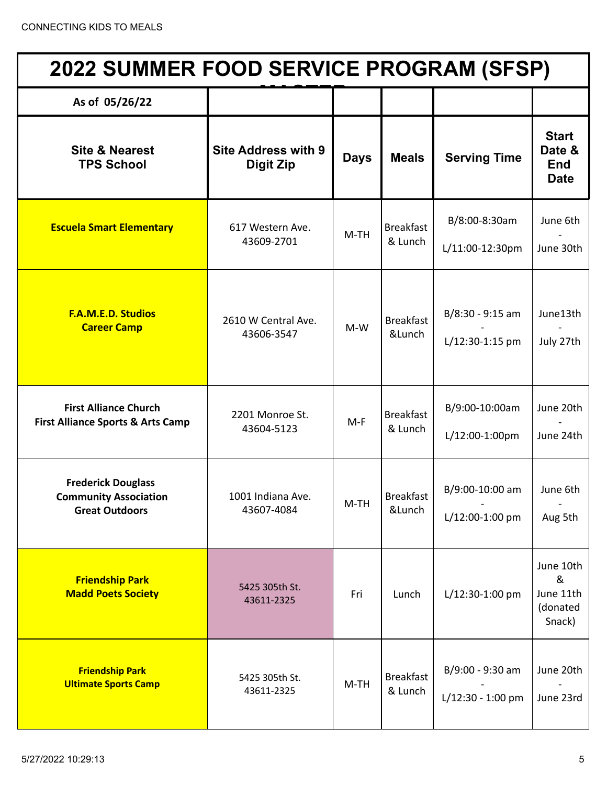| <b>2022 SUMMER FOOD SERVICE PROGRAM (SFSP)</b>                                     |                                         |             |                             |                                         |                                                     |  |  |
|------------------------------------------------------------------------------------|-----------------------------------------|-------------|-----------------------------|-----------------------------------------|-----------------------------------------------------|--|--|
| As of 05/26/22                                                                     |                                         |             |                             |                                         |                                                     |  |  |
| <b>Site &amp; Nearest</b><br><b>TPS School</b>                                     | <b>Site Address with 9</b><br>Digit Zip | <b>Days</b> | <b>Meals</b>                | <b>Serving Time</b>                     | <b>Start</b><br>Date &<br><b>End</b><br><b>Date</b> |  |  |
| <b>Escuela Smart Elementary</b>                                                    | 617 Western Ave.<br>43609-2701          | $M-TH$      | <b>Breakfast</b><br>& Lunch | B/8:00-8:30am<br>L/11:00-12:30pm        | June 6th<br>June 30th                               |  |  |
| <b>F.A.M.E.D. Studios</b><br><b>Career Camp</b>                                    | 2610 W Central Ave.<br>43606-3547       | $M-W$       | <b>Breakfast</b><br>&Lunch  | $B/8:30 - 9:15$ am<br>L/12:30-1:15 pm   | June13th<br>July 27th                               |  |  |
| <b>First Alliance Church</b><br><b>First Alliance Sports &amp; Arts Camp</b>       | 2201 Monroe St.<br>43604-5123           | $M-F$       | <b>Breakfast</b><br>& Lunch | B/9:00-10:00am<br>L/12:00-1:00pm        | June 20th<br>June 24th                              |  |  |
| <b>Frederick Douglass</b><br><b>Community Association</b><br><b>Great Outdoors</b> | 1001 Indiana Ave.<br>43607-4084         | $M-TH$      | <b>Breakfast</b><br>&Lunch  | B/9:00-10:00 am<br>L/12:00-1:00 pm      | June 6th<br>Aug 5th                                 |  |  |
| <b>Friendship Park</b><br><b>Madd Poets Society</b>                                | 5425 305th St.<br>43611-2325            | Fri         | Lunch                       | L/12:30-1:00 pm                         | June 10th<br>&<br>June 11th<br>(donated<br>Snack)   |  |  |
| <b>Friendship Park</b><br><b>Ultimate Sports Camp</b>                              | 5425 305th St.<br>43611-2325            | $M-TH$      | <b>Breakfast</b><br>& Lunch | B/9:00 - 9:30 am<br>$L/12:30 - 1:00$ pm | June 20th<br>June 23rd                              |  |  |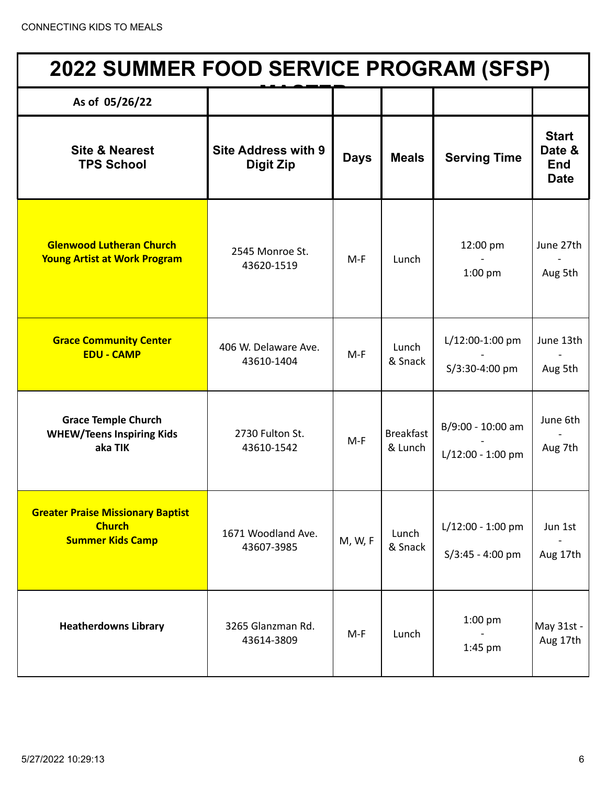| <b>2022 SUMMER FOOD SERVICE PROGRAM (SFSP)</b>                                       |                                         |             |                             |                                         |                                                     |  |  |
|--------------------------------------------------------------------------------------|-----------------------------------------|-------------|-----------------------------|-----------------------------------------|-----------------------------------------------------|--|--|
| As of 05/26/22                                                                       |                                         |             |                             |                                         |                                                     |  |  |
| <b>Site &amp; Nearest</b><br><b>TPS School</b>                                       | <b>Site Address with 9</b><br>Digit Zip | <b>Days</b> | <b>Meals</b>                | <b>Serving Time</b>                     | <b>Start</b><br>Date &<br><b>End</b><br><b>Date</b> |  |  |
| <b>Glenwood Lutheran Church</b><br><b>Young Artist at Work Program</b>               | 2545 Monroe St.<br>43620-1519           | $M-F$       | Lunch                       | 12:00 pm<br>$1:00$ pm                   | June 27th<br>Aug 5th                                |  |  |
| <b>Grace Community Center</b><br><b>EDU - CAMP</b>                                   | 406 W. Delaware Ave.<br>43610-1404      | $M-F$       | Lunch<br>& Snack            | L/12:00-1:00 pm<br>S/3:30-4:00 pm       | June 13th<br>Aug 5th                                |  |  |
| <b>Grace Temple Church</b><br><b>WHEW/Teens Inspiring Kids</b><br>aka TIK            | 2730 Fulton St.<br>43610-1542           | $M-F$       | <b>Breakfast</b><br>& Lunch | B/9:00 - 10:00 am<br>L/12:00 - 1:00 pm  | June 6th<br>Aug 7th                                 |  |  |
| <b>Greater Praise Missionary Baptist</b><br><b>Church</b><br><b>Summer Kids Camp</b> | 1671 Woodland Ave.<br>43607-3985        | M, W, F     | Lunch<br>& Snack            | L/12:00 - 1:00 pm<br>$S/3:45 - 4:00$ pm | Jun 1st<br>Aug 17th                                 |  |  |
| <b>Heatherdowns Library</b>                                                          | 3265 Glanzman Rd.<br>43614-3809         | $M-F$       | Lunch                       | $1:00$ pm<br>1:45 pm                    | May 31st -<br>Aug 17th                              |  |  |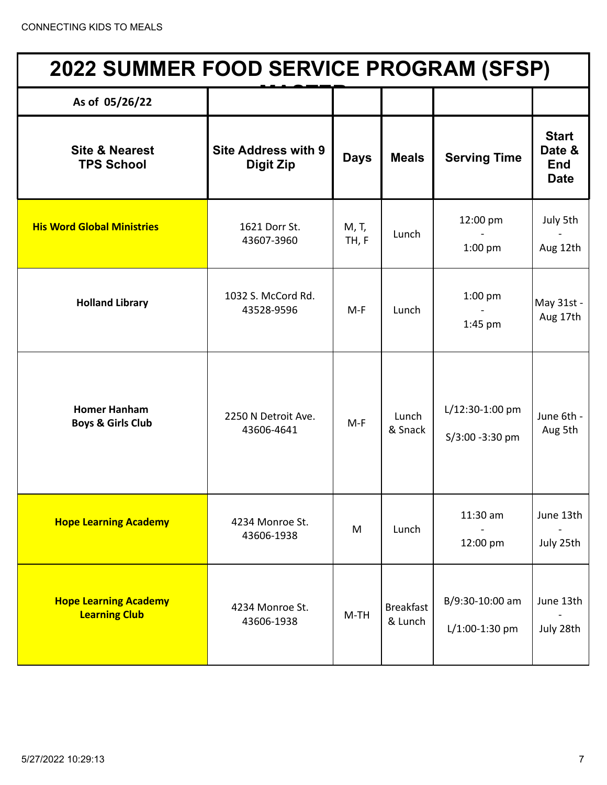| 2022 SUMMER FOOD SERVICE PROGRAM (SFSP)              |                                                |                |                             |                                     |                                                     |  |  |
|------------------------------------------------------|------------------------------------------------|----------------|-----------------------------|-------------------------------------|-----------------------------------------------------|--|--|
| As of 05/26/22                                       |                                                |                |                             |                                     |                                                     |  |  |
| <b>Site &amp; Nearest</b><br><b>TPS School</b>       | <b>Site Address with 9</b><br><b>Digit Zip</b> | <b>Days</b>    | <b>Meals</b>                | <b>Serving Time</b>                 | <b>Start</b><br>Date &<br><b>End</b><br><b>Date</b> |  |  |
| <b>His Word Global Ministries</b>                    | 1621 Dorr St.<br>43607-3960                    | M, T,<br>TH, F | Lunch                       | 12:00 pm<br>$1:00$ pm               | July 5th<br>Aug 12th                                |  |  |
| <b>Holland Library</b>                               | 1032 S. McCord Rd.<br>43528-9596               | $M-F$          | Lunch                       | $1:00$ pm<br>1:45 pm                | May 31st -<br>Aug 17th                              |  |  |
| <b>Homer Hanham</b><br><b>Boys &amp; Girls Club</b>  | 2250 N Detroit Ave.<br>43606-4641              | $M-F$          | Lunch<br>& Snack            | L/12:30-1:00 pm<br>S/3:00 -3:30 pm  | June 6th -<br>Aug 5th                               |  |  |
| <b>Hope Learning Academy</b>                         | 4234 Monroe St.<br>43606-1938                  | M              | Lunch                       | 11:30 am<br>12:00 pm                | June 13th<br>July 25th                              |  |  |
| <b>Hope Learning Academy</b><br><b>Learning Club</b> | 4234 Monroe St.<br>43606-1938                  | $M-TH$         | <b>Breakfast</b><br>& Lunch | B/9:30-10:00 am<br>$L/1:00-1:30$ pm | June 13th<br>July 28th                              |  |  |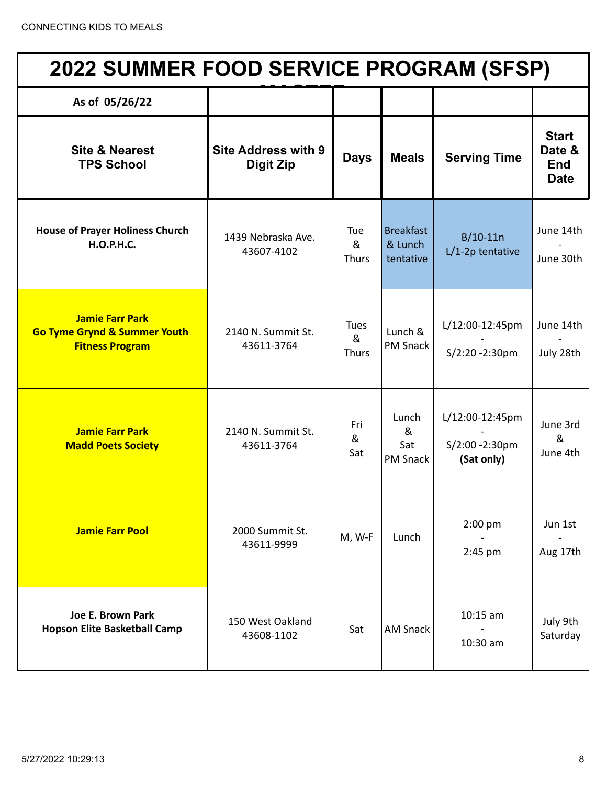| <b>2022 SUMMER FOOD SERVICE PROGRAM (SFSP)</b>                                              |                                                |                           |                                          |                                                 |                                                     |  |
|---------------------------------------------------------------------------------------------|------------------------------------------------|---------------------------|------------------------------------------|-------------------------------------------------|-----------------------------------------------------|--|
| As of 05/26/22                                                                              |                                                |                           |                                          |                                                 |                                                     |  |
| <b>Site &amp; Nearest</b><br><b>TPS School</b>                                              | <b>Site Address with 9</b><br><b>Digit Zip</b> | <b>Days</b>               | <b>Meals</b>                             | <b>Serving Time</b>                             | <b>Start</b><br>Date &<br><b>End</b><br><b>Date</b> |  |
| <b>House of Prayer Holiness Church</b><br><b>H.O.P.H.C.</b>                                 | 1439 Nebraska Ave.<br>43607-4102               | Tue<br>&<br><b>Thurs</b>  | <b>Breakfast</b><br>& Lunch<br>tentative | $B/10-11n$<br>$L/1-2p$ tentative                | June 14th<br>June 30th                              |  |
| <b>Jamie Farr Park</b><br><b>Go Tyme Grynd &amp; Summer Youth</b><br><b>Fitness Program</b> | 2140 N. Summit St.<br>43611-3764               | <b>Tues</b><br>&<br>Thurs | Lunch &<br><b>PM Snack</b>               | L/12:00-12:45pm<br>S/2:20 -2:30pm               | June 14th<br>July 28th                              |  |
| <b>Jamie Farr Park</b><br><b>Madd Poets Society</b>                                         | 2140 N. Summit St.<br>43611-3764               | Fri<br>&<br>Sat           | Lunch<br>&<br>Sat<br><b>PM Snack</b>     | L/12:00-12:45pm<br>S/2:00 -2:30pm<br>(Sat only) | June 3rd<br>&<br>June 4th                           |  |
| <b>Jamie Farr Pool</b>                                                                      | 2000 Summit St.<br>43611-9999                  | M, W-F                    | Lunch                                    | 2:00 pm<br>$2:45$ pm                            | Jun 1st<br>Aug 17th                                 |  |
| Joe E. Brown Park<br><b>Hopson Elite Basketball Camp</b>                                    | 150 West Oakland<br>43608-1102                 | Sat                       | <b>AM Snack</b>                          | $10:15$ am<br>10:30 am                          | July 9th<br>Saturday                                |  |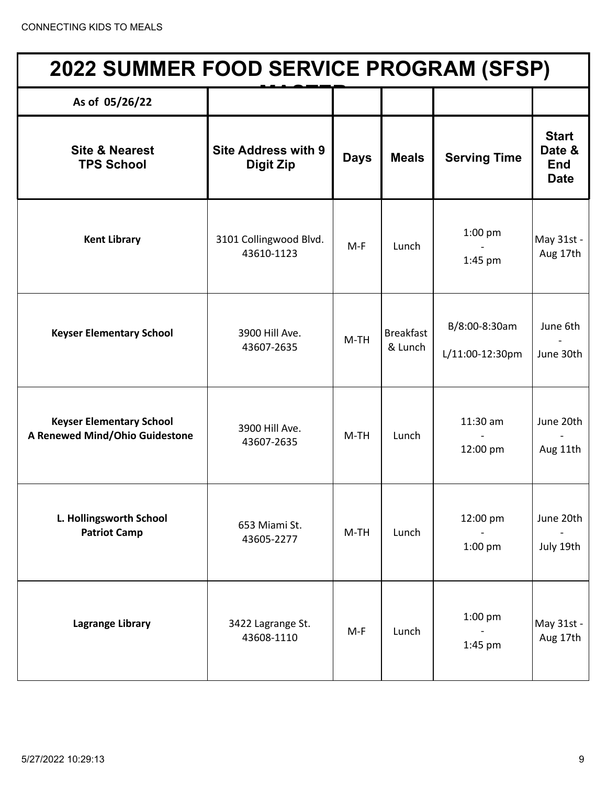| 2022 SUMMER FOOD SERVICE PROGRAM (SFSP)                           |                                                |             |                             |                                  |                                              |  |  |
|-------------------------------------------------------------------|------------------------------------------------|-------------|-----------------------------|----------------------------------|----------------------------------------------|--|--|
| As of 05/26/22                                                    |                                                |             |                             |                                  |                                              |  |  |
| <b>Site &amp; Nearest</b><br><b>TPS School</b>                    | <b>Site Address with 9</b><br><b>Digit Zip</b> | <b>Days</b> | <b>Meals</b>                | <b>Serving Time</b>              | <b>Start</b><br>Date &<br>End<br><b>Date</b> |  |  |
| <b>Kent Library</b>                                               | 3101 Collingwood Blvd.<br>43610-1123           | $M-F$       | Lunch                       | $1:00$ pm<br>1:45 pm             | May 31st -<br>Aug 17th                       |  |  |
| <b>Keyser Elementary School</b>                                   | 3900 Hill Ave.<br>43607-2635                   | $M-TH$      | <b>Breakfast</b><br>& Lunch | B/8:00-8:30am<br>L/11:00-12:30pm | June 6th<br>June 30th                        |  |  |
| <b>Keyser Elementary School</b><br>A Renewed Mind/Ohio Guidestone | 3900 Hill Ave.<br>43607-2635                   | $M-TH$      | Lunch                       | 11:30 am<br>12:00 pm             | June 20th<br>Aug 11th                        |  |  |
| L. Hollingsworth School<br><b>Patriot Camp</b>                    | 653 Miami St.<br>43605-2277                    | $M-TH$      | Lunch                       | 12:00 pm<br>$1:00$ pm            | June 20th<br>July 19th                       |  |  |
| <b>Lagrange Library</b>                                           | 3422 Lagrange St.<br>43608-1110                | $M-F$       | Lunch                       | $1:00$ pm<br>1:45 pm             | May 31st -<br>Aug 17th                       |  |  |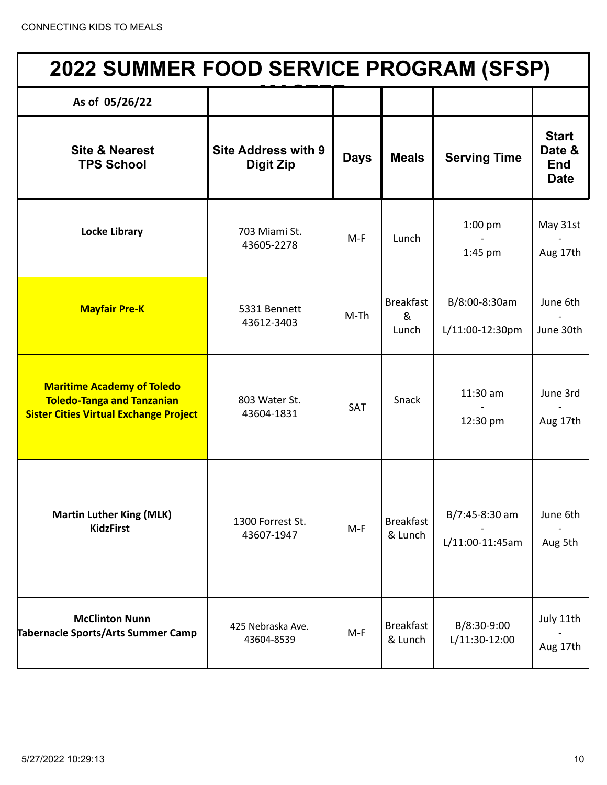| <b>2022 SUMMER FOOD SERVICE PROGRAM (SFSP)</b>                                                                          |                                                |             |                                |                                   |                                                     |  |
|-------------------------------------------------------------------------------------------------------------------------|------------------------------------------------|-------------|--------------------------------|-----------------------------------|-----------------------------------------------------|--|
| As of 05/26/22                                                                                                          |                                                |             |                                |                                   |                                                     |  |
| <b>Site &amp; Nearest</b><br><b>TPS School</b>                                                                          | <b>Site Address with 9</b><br><b>Digit Zip</b> | <b>Days</b> | <b>Meals</b>                   | <b>Serving Time</b>               | <b>Start</b><br>Date &<br><b>End</b><br><b>Date</b> |  |
| <b>Locke Library</b>                                                                                                    | 703 Miami St.<br>43605-2278                    | $M-F$       | Lunch                          | $1:00$ pm<br>$1:45$ pm            | May 31st<br>Aug 17th                                |  |
| <b>Mayfair Pre-K</b>                                                                                                    | 5331 Bennett<br>43612-3403                     | $M-Th$      | <b>Breakfast</b><br>&<br>Lunch | B/8:00-8:30am<br>L/11:00-12:30pm  | June 6th<br>June 30th                               |  |
| <b>Maritime Academy of Toledo</b><br><b>Toledo-Tanga and Tanzanian</b><br><b>Sister Cities Virtual Exchange Project</b> | 803 Water St.<br>43604-1831                    | SAT         | Snack                          | $11:30$ am<br>12:30 pm            | June 3rd<br>Aug 17th                                |  |
| <b>Martin Luther King (MLK)</b><br><b>KidzFirst</b>                                                                     | 1300 Forrest St.<br>43607-1947                 | $M-F$       | <b>Breakfast</b><br>& Lunch    | B/7:45-8:30 am<br>L/11:00-11:45am | June 6th<br>Aug 5th                                 |  |
| <b>McClinton Nunn</b><br><b>Tabernacle Sports/Arts Summer Camp</b>                                                      | 425 Nebraska Ave.<br>43604-8539                | $M-F$       | <b>Breakfast</b><br>& Lunch    | B/8:30-9:00<br>L/11:30-12:00      | July 11th<br>Aug 17th                               |  |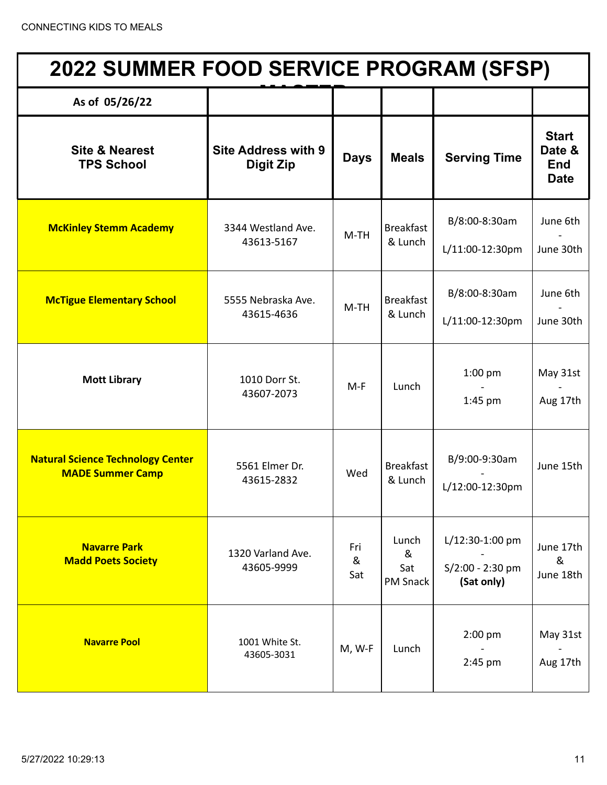| <b>2022 SUMMER FOOD SERVICE PROGRAM (SFSP)</b>                      |                                                |                 |                                      |                                                   |                                                     |  |  |
|---------------------------------------------------------------------|------------------------------------------------|-----------------|--------------------------------------|---------------------------------------------------|-----------------------------------------------------|--|--|
| As of 05/26/22                                                      |                                                |                 |                                      |                                                   |                                                     |  |  |
| <b>Site &amp; Nearest</b><br><b>TPS School</b>                      | <b>Site Address with 9</b><br><b>Digit Zip</b> | <b>Days</b>     | <b>Meals</b>                         | <b>Serving Time</b>                               | <b>Start</b><br>Date &<br><b>End</b><br><b>Date</b> |  |  |
| <b>McKinley Stemm Academy</b>                                       | 3344 Westland Ave.<br>43613-5167               | $M-TH$          | <b>Breakfast</b><br>& Lunch          | B/8:00-8:30am<br>L/11:00-12:30pm                  | June 6th<br>June 30th                               |  |  |
| <b>McTigue Elementary School</b>                                    | 5555 Nebraska Ave.<br>43615-4636               | $M-TH$          | <b>Breakfast</b><br>& Lunch          | B/8:00-8:30am<br>L/11:00-12:30pm                  | June 6th<br>June 30th                               |  |  |
| <b>Mott Library</b>                                                 | 1010 Dorr St.<br>43607-2073                    | $M-F$           | Lunch                                | $1:00$ pm<br>1:45 pm                              | May 31st<br>Aug 17th                                |  |  |
| <b>Natural Science Technology Center</b><br><b>MADE Summer Camp</b> | 5561 Elmer Dr.<br>43615-2832                   | Wed             | <b>Breakfast</b><br>& Lunch          | B/9:00-9:30am<br>L/12:00-12:30pm                  | June 15th                                           |  |  |
| <b>Navarre Park</b><br><b>Madd Poets Society</b>                    | 1320 Varland Ave.<br>43605-9999                | Fri<br>&<br>Sat | Lunch<br>&<br>Sat<br><b>PM Snack</b> | L/12:30-1:00 pm<br>S/2:00 - 2:30 pm<br>(Sat only) | June 17th<br>&<br>June 18th                         |  |  |
| <b>Navarre Pool</b>                                                 | 1001 White St.<br>43605-3031                   | M, W-F          | Lunch                                | 2:00 pm<br>2:45 pm                                | May 31st<br>Aug 17th                                |  |  |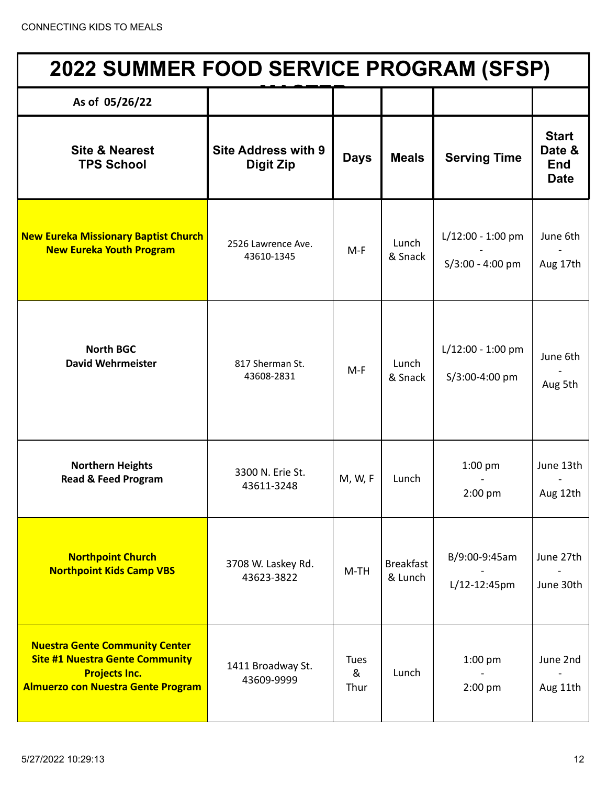| <b>2022 SUMMER FOOD SERVICE PROGRAM (SFSP)</b>                                                                                                       |                                                |                          |                             |                                           |                                                     |  |
|------------------------------------------------------------------------------------------------------------------------------------------------------|------------------------------------------------|--------------------------|-----------------------------|-------------------------------------------|-----------------------------------------------------|--|
| As of 05/26/22                                                                                                                                       |                                                |                          |                             |                                           |                                                     |  |
| <b>Site &amp; Nearest</b><br><b>TPS School</b>                                                                                                       | <b>Site Address with 9</b><br><b>Digit Zip</b> | <b>Days</b>              | <b>Meals</b>                | <b>Serving Time</b>                       | <b>Start</b><br>Date &<br><b>End</b><br><b>Date</b> |  |
| <b>New Eureka Missionary Baptist Church</b><br><b>New Eureka Youth Program</b>                                                                       | 2526 Lawrence Ave.<br>43610-1345               | $M-F$                    | Lunch<br>& Snack            | $L/12:00 - 1:00$ pm<br>$S/3:00 - 4:00$ pm | June 6th<br>Aug 17th                                |  |
| <b>North BGC</b><br><b>David Wehrmeister</b>                                                                                                         | 817 Sherman St.<br>43608-2831                  | $M-F$                    | Lunch<br>& Snack            | L/12:00 - 1:00 pm<br>S/3:00-4:00 pm       | June 6th<br>Aug 5th                                 |  |
| <b>Northern Heights</b><br><b>Read &amp; Feed Program</b>                                                                                            | 3300 N. Erie St.<br>43611-3248                 | M, W, F                  | Lunch                       | $1:00$ pm<br>2:00 pm                      | June 13th<br>Aug 12th                               |  |
| <b>Northpoint Church</b><br><b>Northpoint Kids Camp VBS</b>                                                                                          | 3708 W. Laskey Rd.<br>43623-3822               | $M-TH$                   | <b>Breakfast</b><br>& Lunch | B/9:00-9:45am<br>L/12-12:45pm             | June 27th<br>June 30th                              |  |
| <b>Nuestra Gente Community Center</b><br><b>Site #1 Nuestra Gente Community</b><br><b>Projects Inc.</b><br><b>Almuerzo con Nuestra Gente Program</b> | 1411 Broadway St.<br>43609-9999                | <b>Tues</b><br>&<br>Thur | Lunch                       | $1:00$ pm<br>2:00 pm                      | June 2nd<br>Aug 11th                                |  |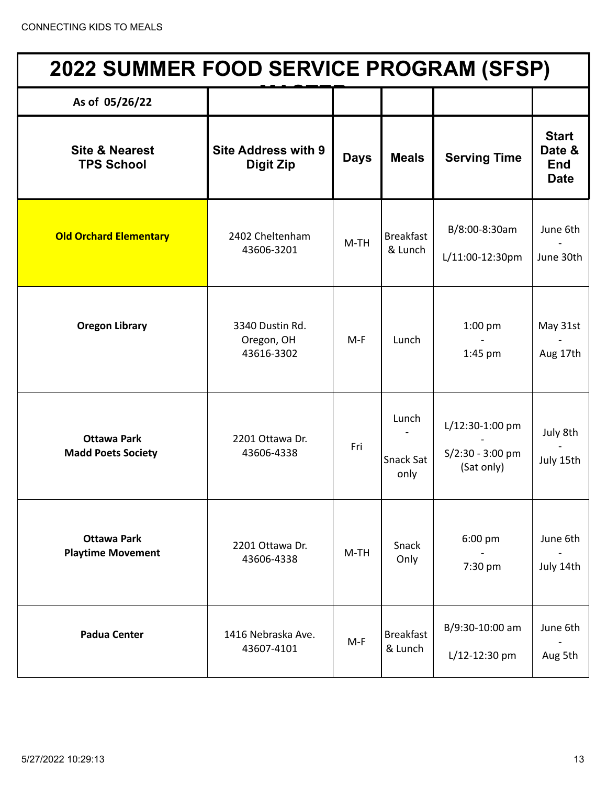| <b>2022 SUMMER FOOD SERVICE PROGRAM (SFSP)</b>  |                                                |             |                                   |                                                   |                                                     |  |  |
|-------------------------------------------------|------------------------------------------------|-------------|-----------------------------------|---------------------------------------------------|-----------------------------------------------------|--|--|
| As of 05/26/22                                  |                                                |             |                                   |                                                   |                                                     |  |  |
| <b>Site &amp; Nearest</b><br><b>TPS School</b>  | <b>Site Address with 9</b><br><b>Digit Zip</b> | <b>Days</b> | <b>Meals</b>                      | <b>Serving Time</b>                               | <b>Start</b><br>Date &<br><b>End</b><br><b>Date</b> |  |  |
| <b>Old Orchard Elementary</b>                   | 2402 Cheltenham<br>43606-3201                  | $M-TH$      | <b>Breakfast</b><br>& Lunch       | B/8:00-8:30am<br>L/11:00-12:30pm                  | June 6th<br>June 30th                               |  |  |
| <b>Oregon Library</b>                           | 3340 Dustin Rd.<br>Oregon, OH<br>43616-3302    | $M-F$       | Lunch                             | $1:00$ pm<br>1:45 pm                              | May 31st<br>Aug 17th                                |  |  |
| <b>Ottawa Park</b><br><b>Madd Poets Society</b> | 2201 Ottawa Dr.<br>43606-4338                  | Fri         | Lunch<br><b>Snack Sat</b><br>only | L/12:30-1:00 pm<br>S/2:30 - 3:00 pm<br>(Sat only) | July 8th<br>July 15th                               |  |  |
| <b>Ottawa Park</b><br><b>Playtime Movement</b>  | 2201 Ottawa Dr.<br>43606-4338                  | $M-TH$      | Snack<br>Only                     | 6:00 pm<br>7:30 pm                                | June 6th<br>July 14th                               |  |  |
| <b>Padua Center</b>                             | 1416 Nebraska Ave.<br>43607-4101               | $M-F$       | <b>Breakfast</b><br>& Lunch       | B/9:30-10:00 am<br>$L/12 - 12:30$ pm              | June 6th<br>Aug 5th                                 |  |  |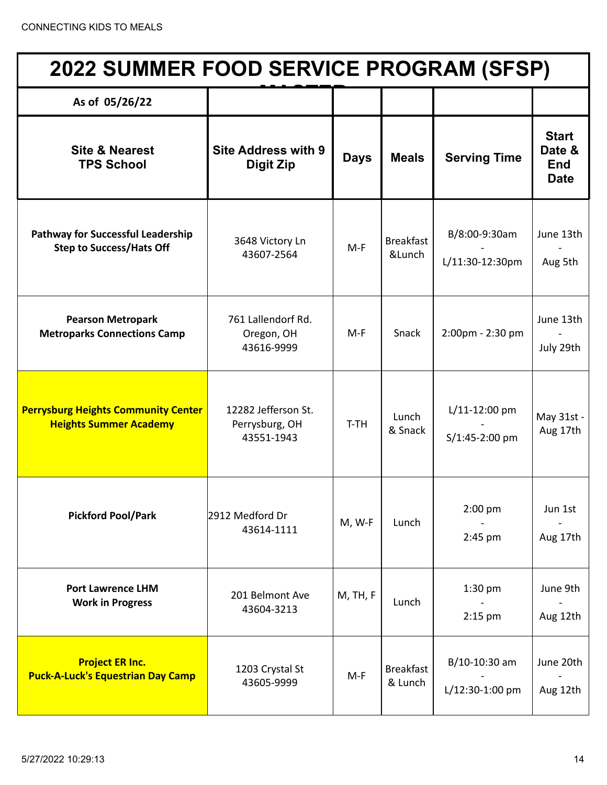| <b>2022 SUMMER FOOD SERVICE PROGRAM (SFSP)</b>                              |                                                     |             |                             |                                   |                                                     |  |
|-----------------------------------------------------------------------------|-----------------------------------------------------|-------------|-----------------------------|-----------------------------------|-----------------------------------------------------|--|
| As of 05/26/22                                                              |                                                     |             |                             |                                   |                                                     |  |
| <b>Site &amp; Nearest</b><br><b>TPS School</b>                              | <b>Site Address with 9</b><br>Digit Zip             | <b>Days</b> | <b>Meals</b>                | <b>Serving Time</b>               | <b>Start</b><br>Date &<br><b>End</b><br><b>Date</b> |  |
| <b>Pathway for Successful Leadership</b><br><b>Step to Success/Hats Off</b> | 3648 Victory Ln<br>43607-2564                       | $M-F$       | <b>Breakfast</b><br>&Lunch  | B/8:00-9:30am<br>L/11:30-12:30pm  | June 13th<br>Aug 5th                                |  |
| <b>Pearson Metropark</b><br><b>Metroparks Connections Camp</b>              | 761 Lallendorf Rd.<br>Oregon, OH<br>43616-9999      | $M-F$       | Snack                       | 2:00pm - 2:30 pm                  | June 13th<br>July 29th                              |  |
| <b>Perrysburg Heights Community Center</b><br><b>Heights Summer Academy</b> | 12282 Jefferson St.<br>Perrysburg, OH<br>43551-1943 | T-TH        | Lunch<br>& Snack            | $L/11-12:00$ pm<br>S/1:45-2:00 pm | May 31st -<br>Aug 17th                              |  |
| <b>Pickford Pool/Park</b>                                                   | 2912 Medford Dr<br>43614-1111                       | M, W-F      | Lunch                       | $2:00$ pm<br>2:45 pm              | Jun 1st<br>Aug 17th                                 |  |
| <b>Port Lawrence LHM</b><br><b>Work in Progress</b>                         | 201 Belmont Ave<br>43604-3213                       | M, TH, F    | Lunch                       | $1:30$ pm<br>$2:15$ pm            | June 9th<br>Aug 12th                                |  |
| <b>Project ER Inc.</b><br><b>Puck-A-Luck's Equestrian Day Camp</b>          | 1203 Crystal St<br>43605-9999                       | $M-F$       | <b>Breakfast</b><br>& Lunch | B/10-10:30 am<br>L/12:30-1:00 pm  | June 20th<br>Aug 12th                               |  |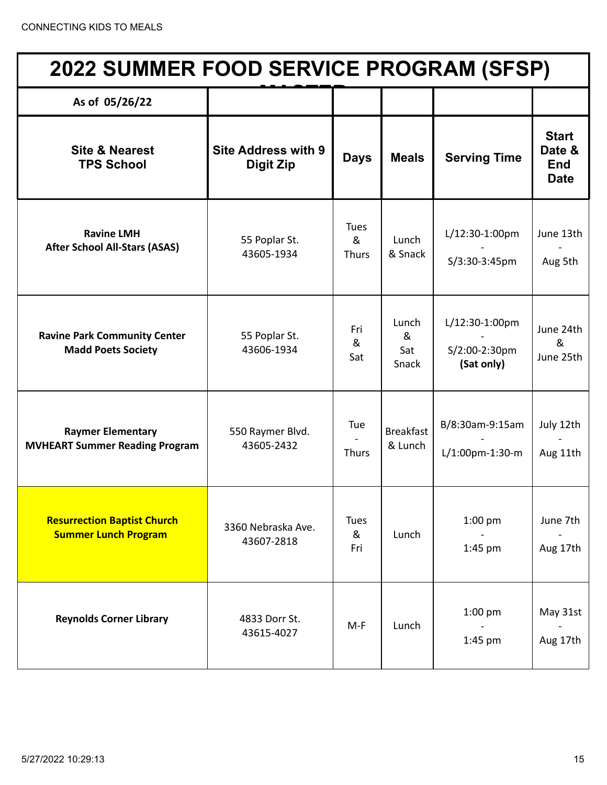| <b>2022 SUMMER FOOD SERVICE PROGRAM (SFSP)</b>                    |                                                |                                  |                             |                                               |                                                     |  |
|-------------------------------------------------------------------|------------------------------------------------|----------------------------------|-----------------------------|-----------------------------------------------|-----------------------------------------------------|--|
| As of 05/26/22                                                    |                                                |                                  |                             |                                               |                                                     |  |
| <b>Site &amp; Nearest</b><br><b>TPS School</b>                    | <b>Site Address with 9</b><br><b>Digit Zip</b> | <b>Days</b>                      | <b>Meals</b>                | <b>Serving Time</b>                           | <b>Start</b><br>Date &<br><b>End</b><br><b>Date</b> |  |
| <b>Ravine LMH</b><br><b>After School All-Stars (ASAS)</b>         | 55 Poplar St.<br>43605-1934                    | <b>Tues</b><br>&<br><b>Thurs</b> | Lunch<br>& Snack            | L/12:30-1:00pm<br>S/3:30-3:45pm               | June 13th<br>Aug 5th                                |  |
| <b>Ravine Park Community Center</b><br><b>Madd Poets Society</b>  | 55 Poplar St.<br>43606-1934                    | Fri<br>&<br>Sat                  | Lunch<br>&<br>Sat<br>Snack  | L/12:30-1:00pm<br>S/2:00-2:30pm<br>(Sat only) | June 24th<br>&<br>June 25th                         |  |
| <b>Raymer Elementary</b><br><b>MVHEART Summer Reading Program</b> | 550 Raymer Blvd.<br>43605-2432                 | Tue<br><b>Thurs</b>              | <b>Breakfast</b><br>& Lunch | B/8:30am-9:15am<br>L/1:00pm-1:30-m            | July 12th<br>Aug 11th                               |  |
| <b>Resurrection Baptist Church</b><br><b>Summer Lunch Program</b> | 3360 Nebraska Ave.<br>43607-2818               | <b>Tues</b><br>&<br>Fri          | Lunch                       | $1:00$ pm<br>$1:45$ pm                        | June 7th<br>Aug 17th                                |  |
| <b>Reynolds Corner Library</b>                                    | 4833 Dorr St.<br>43615-4027                    | $M-F$                            | Lunch                       | 1:00 pm<br>$1:45$ pm                          | May 31st<br>Aug 17th                                |  |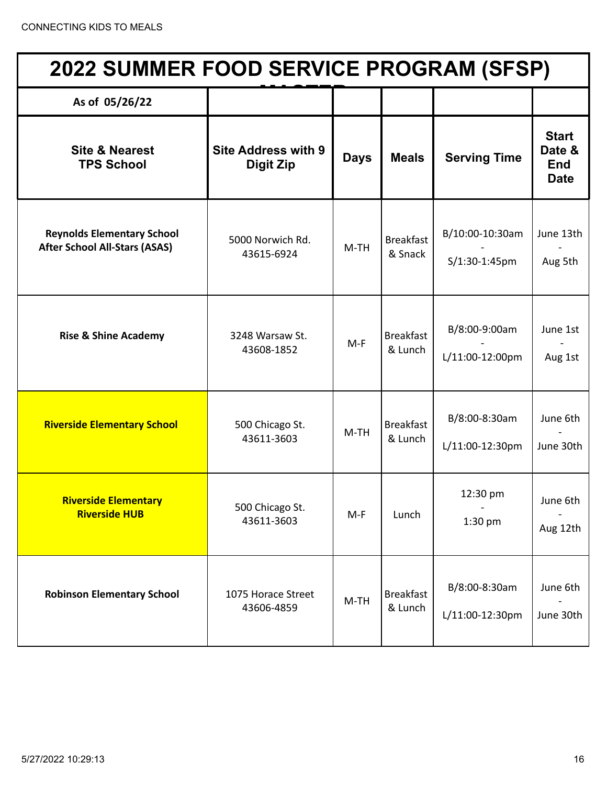| <b>2022 SUMMER FOOD SERVICE PROGRAM (SFSP)</b>                            |                                         |             |                             |                                  |                                                     |  |
|---------------------------------------------------------------------------|-----------------------------------------|-------------|-----------------------------|----------------------------------|-----------------------------------------------------|--|
| As of 05/26/22                                                            |                                         |             |                             |                                  |                                                     |  |
| <b>Site &amp; Nearest</b><br><b>TPS School</b>                            | <b>Site Address with 9</b><br>Digit Zip | <b>Days</b> | <b>Meals</b>                | <b>Serving Time</b>              | <b>Start</b><br>Date &<br><b>End</b><br><b>Date</b> |  |
| <b>Reynolds Elementary School</b><br><b>After School All-Stars (ASAS)</b> | 5000 Norwich Rd.<br>43615-6924          | $M-TH$      | <b>Breakfast</b><br>& Snack | B/10:00-10:30am<br>S/1:30-1:45pm | June 13th<br>Aug 5th                                |  |
| <b>Rise &amp; Shine Academy</b>                                           | 3248 Warsaw St.<br>43608-1852           | $M-F$       | <b>Breakfast</b><br>& Lunch | B/8:00-9:00am<br>L/11:00-12:00pm | June 1st<br>Aug 1st                                 |  |
| <b>Riverside Elementary School</b>                                        | 500 Chicago St.<br>43611-3603           | $M-TH$      | <b>Breakfast</b><br>& Lunch | B/8:00-8:30am<br>L/11:00-12:30pm | June 6th<br>June 30th                               |  |
| <b>Riverside Elementary</b><br><b>Riverside HUB</b>                       | 500 Chicago St.<br>43611-3603           | $M-F$       | Lunch                       | 12:30 pm<br>1:30 pm              | June 6th<br>Aug 12th                                |  |
| <b>Robinson Elementary School</b>                                         | 1075 Horace Street<br>43606-4859        | $M-TH$      | <b>Breakfast</b><br>& Lunch | B/8:00-8:30am<br>L/11:00-12:30pm | June 6th<br>June 30th                               |  |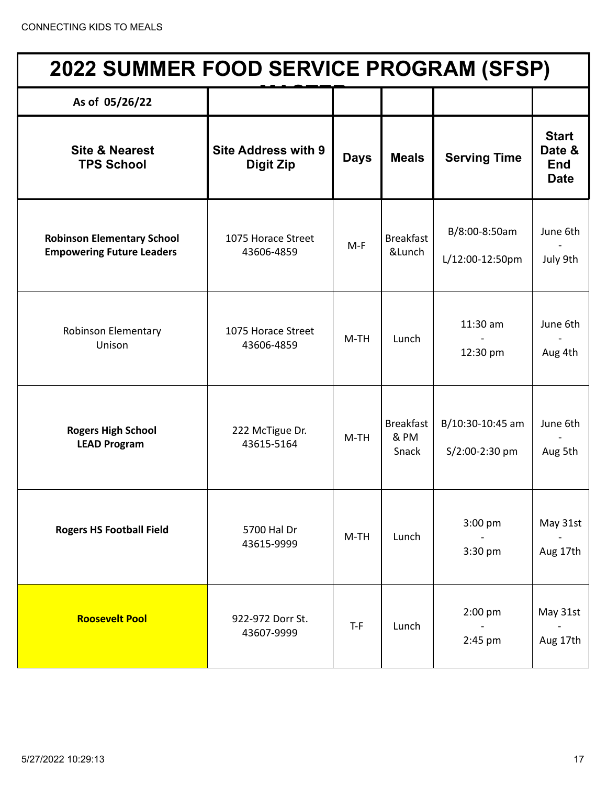| <b>2022 SUMMER FOOD SERVICE PROGRAM (SFSP)</b>                        |                                                |             |                                   |                                    |                                                     |  |  |
|-----------------------------------------------------------------------|------------------------------------------------|-------------|-----------------------------------|------------------------------------|-----------------------------------------------------|--|--|
| As of 05/26/22                                                        |                                                |             |                                   |                                    |                                                     |  |  |
| <b>Site &amp; Nearest</b><br><b>TPS School</b>                        | <b>Site Address with 9</b><br><b>Digit Zip</b> | <b>Days</b> | <b>Meals</b>                      | <b>Serving Time</b>                | <b>Start</b><br>Date &<br><b>End</b><br><b>Date</b> |  |  |
| <b>Robinson Elementary School</b><br><b>Empowering Future Leaders</b> | 1075 Horace Street<br>43606-4859               | $M-F$       | <b>Breakfast</b><br>&Lunch        | B/8:00-8:50am<br>L/12:00-12:50pm   | June 6th<br>July 9th                                |  |  |
| <b>Robinson Elementary</b><br>Unison                                  | 1075 Horace Street<br>43606-4859               | $M-TH$      | Lunch                             | $11:30$ am<br>12:30 pm             | June 6th<br>Aug 4th                                 |  |  |
| <b>Rogers High School</b><br><b>LEAD Program</b>                      | 222 McTigue Dr.<br>43615-5164                  | $M-TH$      | <b>Breakfast</b><br>& PM<br>Snack | B/10:30-10:45 am<br>S/2:00-2:30 pm | June 6th<br>Aug 5th                                 |  |  |
| <b>Rogers HS Football Field</b>                                       | 5700 Hal Dr<br>43615-9999                      | $M-TH$      | Lunch                             | 3:00 pm<br>3:30 pm                 | May 31st<br>Aug 17th                                |  |  |
| <b>Roosevelt Pool</b>                                                 | 922-972 Dorr St.<br>43607-9999                 | $T-F$       | Lunch                             | 2:00 pm<br>2:45 pm                 | May 31st<br>Aug 17th                                |  |  |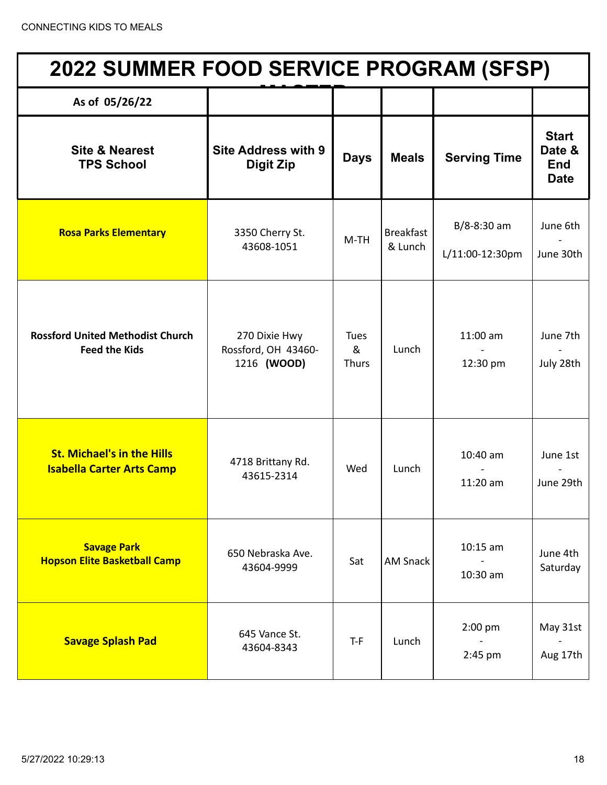| <b>2022 SUMMER FOOD SERVICE PROGRAM (SFSP)</b>                        |                                                     |                           |                             |                                    |                                                     |  |  |
|-----------------------------------------------------------------------|-----------------------------------------------------|---------------------------|-----------------------------|------------------------------------|-----------------------------------------------------|--|--|
| As of 05/26/22                                                        |                                                     |                           |                             |                                    |                                                     |  |  |
| <b>Site &amp; Nearest</b><br><b>TPS School</b>                        | <b>Site Address with 9</b><br><b>Digit Zip</b>      | <b>Days</b>               | <b>Meals</b>                | <b>Serving Time</b>                | <b>Start</b><br>Date &<br><b>End</b><br><b>Date</b> |  |  |
| <b>Rosa Parks Elementary</b>                                          | 3350 Cherry St.<br>43608-1051                       | $M-TH$                    | <b>Breakfast</b><br>& Lunch | $B/8 - 8:30$ am<br>L/11:00-12:30pm | June 6th<br>June 30th                               |  |  |
| <b>Rossford United Methodist Church</b><br><b>Feed the Kids</b>       | 270 Dixie Hwy<br>Rossford, OH 43460-<br>1216 (WOOD) | Tues<br>&<br><b>Thurs</b> | Lunch                       | $11:00$ am<br>12:30 pm             | June 7th<br>July 28th                               |  |  |
| <b>St. Michael's in the Hills</b><br><b>Isabella Carter Arts Camp</b> | 4718 Brittany Rd.<br>43615-2314                     | Wed                       | Lunch                       | 10:40 am<br>11:20 am               | June 1st<br>June 29th                               |  |  |
| <b>Savage Park</b><br><b>Hopson Elite Basketball Camp</b>             | 650 Nebraska Ave.<br>43604-9999                     | Sat                       | <b>AM Snack</b>             | $10:15$ am<br>10:30 am             | June 4th<br>Saturday                                |  |  |
| <b>Savage Splash Pad</b>                                              | 645 Vance St.<br>43604-8343                         | $T-F$                     | Lunch                       | $2:00$ pm<br>2:45 pm               | May 31st<br>Aug 17th                                |  |  |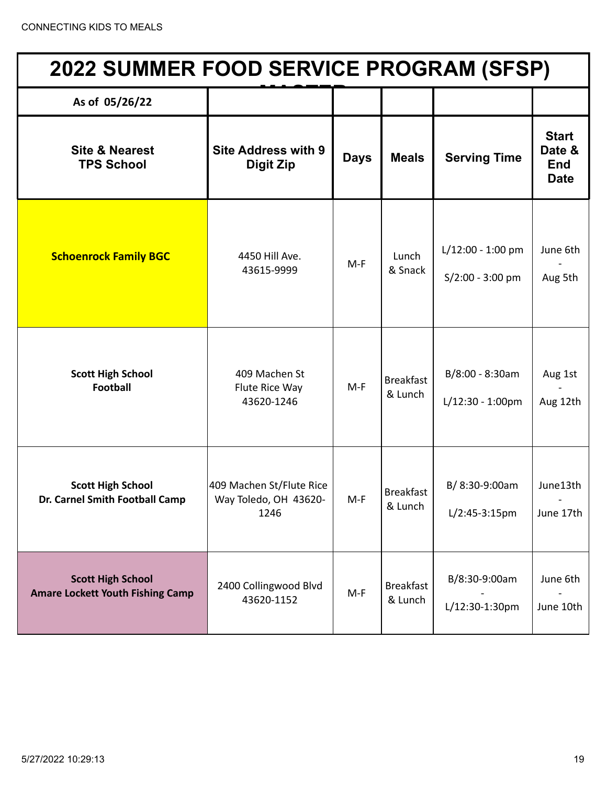| 2022 SUMMER FOOD SERVICE PROGRAM (SFSP)                             |                                                           |             |                             |                                         |                                                     |  |
|---------------------------------------------------------------------|-----------------------------------------------------------|-------------|-----------------------------|-----------------------------------------|-----------------------------------------------------|--|
| As of 05/26/22                                                      |                                                           |             |                             |                                         |                                                     |  |
| <b>Site &amp; Nearest</b><br><b>TPS School</b>                      | <b>Site Address with 9</b><br><b>Digit Zip</b>            | <b>Days</b> | <b>Meals</b>                | <b>Serving Time</b>                     | <b>Start</b><br>Date &<br><b>End</b><br><b>Date</b> |  |
| <b>Schoenrock Family BGC</b>                                        | 4450 Hill Ave.<br>43615-9999                              | $M-F$       | Lunch<br>& Snack            | L/12:00 - 1:00 pm<br>$S/2:00 - 3:00$ pm | June 6th<br>Aug 5th                                 |  |
| <b>Scott High School</b><br><b>Football</b>                         | 409 Machen St<br>Flute Rice Way<br>43620-1246             | $M-F$       | <b>Breakfast</b><br>& Lunch | B/8:00 - 8:30am<br>$L/12:30 - 1:00$ pm  | Aug 1st<br>Aug 12th                                 |  |
| <b>Scott High School</b><br>Dr. Carnel Smith Football Camp          | 409 Machen St/Flute Rice<br>Way Toledo, OH 43620-<br>1246 | $M-F$       | <b>Breakfast</b><br>& Lunch | B/8:30-9:00am<br>$L/2:45-3:15pm$        | June13th<br>June 17th                               |  |
| <b>Scott High School</b><br><b>Amare Lockett Youth Fishing Camp</b> | 2400 Collingwood Blvd<br>43620-1152                       | $M-F$       | <b>Breakfast</b><br>& Lunch | B/8:30-9:00am<br>L/12:30-1:30pm         | June 6th<br>June 10th                               |  |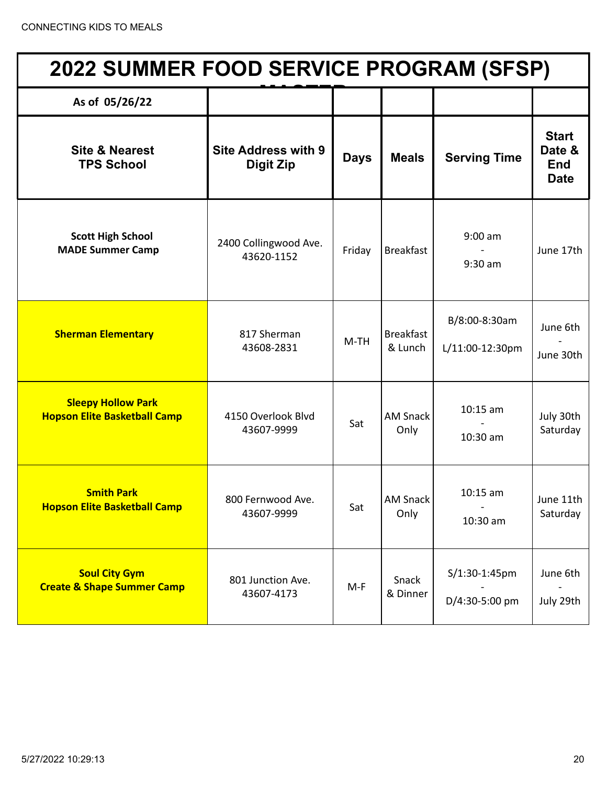| <b>2022 SUMMER FOOD SERVICE PROGRAM (SFSP)</b>                   |                                                |             |                             |                                  |                                                     |  |  |
|------------------------------------------------------------------|------------------------------------------------|-------------|-----------------------------|----------------------------------|-----------------------------------------------------|--|--|
| As of 05/26/22                                                   |                                                |             |                             |                                  |                                                     |  |  |
| <b>Site &amp; Nearest</b><br><b>TPS School</b>                   | <b>Site Address with 9</b><br><b>Digit Zip</b> | <b>Days</b> | <b>Meals</b>                | <b>Serving Time</b>              | <b>Start</b><br>Date &<br><b>End</b><br><b>Date</b> |  |  |
| <b>Scott High School</b><br><b>MADE Summer Camp</b>              | 2400 Collingwood Ave.<br>43620-1152            | Friday      | <b>Breakfast</b>            | $9:00$ am<br>$9:30$ am           | June 17th                                           |  |  |
| <b>Sherman Elementary</b>                                        | 817 Sherman<br>43608-2831                      | $M-TH$      | <b>Breakfast</b><br>& Lunch | B/8:00-8:30am<br>L/11:00-12:30pm | June 6th<br>June 30th                               |  |  |
| <b>Sleepy Hollow Park</b><br><b>Hopson Elite Basketball Camp</b> | 4150 Overlook Blvd<br>43607-9999               | Sat         | <b>AM Snack</b><br>Only     | $10:15$ am<br>$10:30$ am         | July 30th<br>Saturday                               |  |  |
| <b>Smith Park</b><br><b>Hopson Elite Basketball Camp</b>         | 800 Fernwood Ave.<br>43607-9999                | Sat         | <b>AM Snack</b><br>Only     | $10:15$ am<br>10:30 am           | June 11th<br>Saturday                               |  |  |
| <b>Soul City Gym</b><br><b>Create &amp; Shape Summer Camp</b>    | 801 Junction Ave.<br>43607-4173                | $M-F$       | Snack<br>& Dinner           | S/1:30-1:45pm<br>D/4:30-5:00 pm  | June 6th<br>July 29th                               |  |  |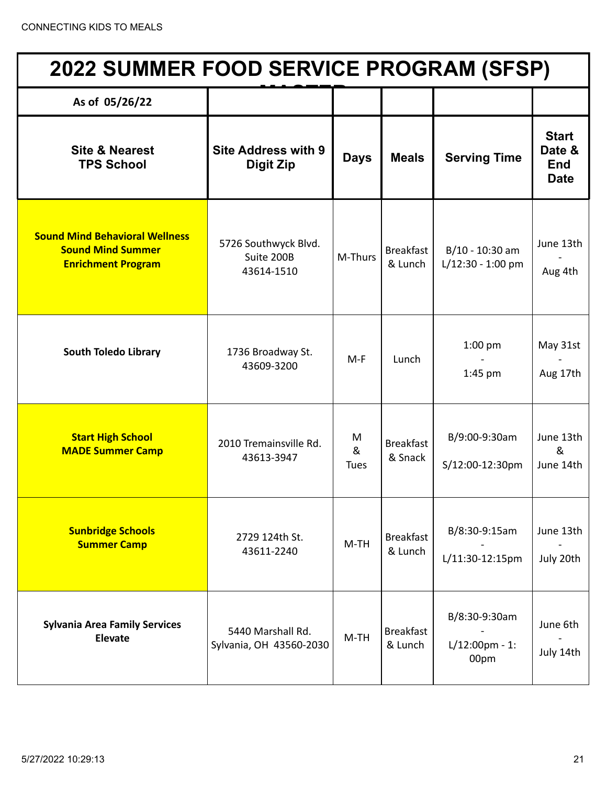| <b>2022 SUMMER FOOD SERVICE PROGRAM (SFSP)</b>                                                 |                                                  |                       |                             |                                            |                                                     |  |  |
|------------------------------------------------------------------------------------------------|--------------------------------------------------|-----------------------|-----------------------------|--------------------------------------------|-----------------------------------------------------|--|--|
| As of 05/26/22                                                                                 |                                                  |                       |                             |                                            |                                                     |  |  |
| <b>Site &amp; Nearest</b><br><b>TPS School</b>                                                 | <b>Site Address with 9</b><br><b>Digit Zip</b>   | <b>Days</b>           | <b>Meals</b>                | <b>Serving Time</b>                        | <b>Start</b><br>Date &<br><b>End</b><br><b>Date</b> |  |  |
| <b>Sound Mind Behavioral Wellness</b><br><b>Sound Mind Summer</b><br><b>Enrichment Program</b> | 5726 Southwyck Blvd.<br>Suite 200B<br>43614-1510 | M-Thurs               | <b>Breakfast</b><br>& Lunch | B/10 - 10:30 am<br>L/12:30 - 1:00 pm       | June 13th<br>Aug 4th                                |  |  |
| <b>South Toledo Library</b>                                                                    | 1736 Broadway St.<br>43609-3200                  | $M-F$                 | Lunch                       | $1:00$ pm<br>$1:45$ pm                     | May 31st<br>Aug 17th                                |  |  |
| <b>Start High School</b><br><b>MADE Summer Camp</b>                                            | 2010 Tremainsville Rd.<br>43613-3947             | M<br>&<br><b>Tues</b> | <b>Breakfast</b><br>& Snack | B/9:00-9:30am<br>S/12:00-12:30pm           | June 13th<br>&<br>June 14th                         |  |  |
| <b>Sunbridge Schools</b><br><b>Summer Camp</b>                                                 | 2729 124th St.<br>43611-2240                     | $M-TH$                | <b>Breakfast</b><br>& Lunch | B/8:30-9:15am<br>L/11:30-12:15pm           | June 13th<br>July 20th                              |  |  |
| <b>Sylvania Area Family Services</b><br><b>Elevate</b>                                         | 5440 Marshall Rd.<br>Sylvania, OH 43560-2030     | $M-TH$                | <b>Breakfast</b><br>& Lunch | B/8:30-9:30am<br>$L/12:00$ pm - 1:<br>00pm | June 6th<br>July 14th                               |  |  |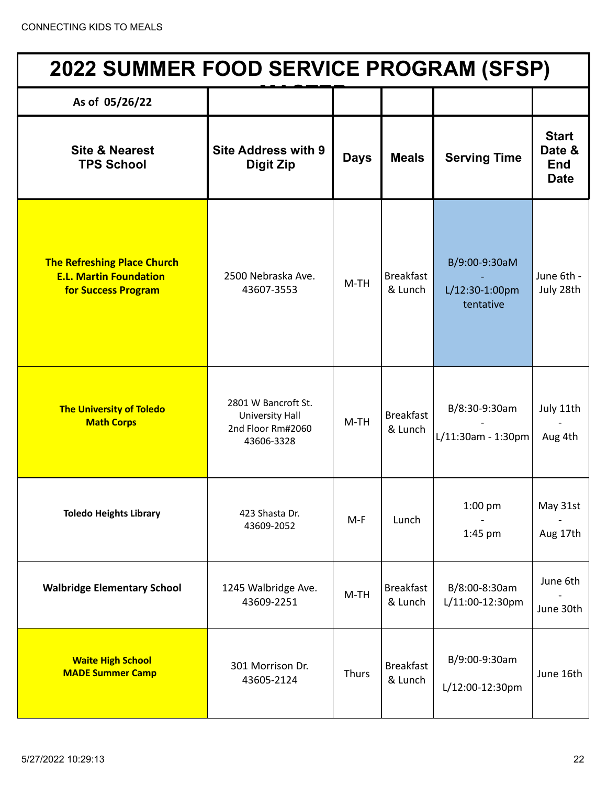| <b>2022 SUMMER FOOD SERVICE PROGRAM (SFSP)</b>                                                    |                                                                                  |             |                             |                                              |                                                     |  |  |
|---------------------------------------------------------------------------------------------------|----------------------------------------------------------------------------------|-------------|-----------------------------|----------------------------------------------|-----------------------------------------------------|--|--|
| As of 05/26/22                                                                                    |                                                                                  |             |                             |                                              |                                                     |  |  |
| <b>Site &amp; Nearest</b><br><b>TPS School</b>                                                    | <b>Site Address with 9</b><br><b>Digit Zip</b>                                   | <b>Days</b> | <b>Meals</b>                | <b>Serving Time</b>                          | <b>Start</b><br>Date &<br><b>End</b><br><b>Date</b> |  |  |
| <b>The Refreshing Place Church</b><br><b>E.L. Martin Foundation</b><br><b>for Success Program</b> | 2500 Nebraska Ave.<br>43607-3553                                                 | $M-TH$      | <b>Breakfast</b><br>& Lunch | B/9:00-9:30aM<br>L/12:30-1:00pm<br>tentative | June 6th -<br>July 28th                             |  |  |
| <b>The University of Toledo</b><br><b>Math Corps</b>                                              | 2801 W Bancroft St.<br><b>University Hall</b><br>2nd Floor Rm#2060<br>43606-3328 | $M-TH$      | <b>Breakfast</b><br>& Lunch | B/8:30-9:30am<br>L/11:30am - 1:30pm          | July 11th<br>Aug 4th                                |  |  |
| <b>Toledo Heights Library</b>                                                                     | 423 Shasta Dr.<br>43609-2052                                                     | $M-F$       | Lunch                       | $1:00$ pm<br>1:45 pm                         | May 31st<br>Aug 17th                                |  |  |
| <b>Walbridge Elementary School</b>                                                                | 1245 Walbridge Ave.<br>43609-2251                                                | $M-TH$      | <b>Breakfast</b><br>& Lunch | B/8:00-8:30am<br>L/11:00-12:30pm             | June 6th<br>June 30th                               |  |  |
| <b>Waite High School</b><br><b>MADE Summer Camp</b>                                               | 301 Morrison Dr.<br>43605-2124                                                   | Thurs       | <b>Breakfast</b><br>& Lunch | B/9:00-9:30am<br>L/12:00-12:30pm             | June 16th                                           |  |  |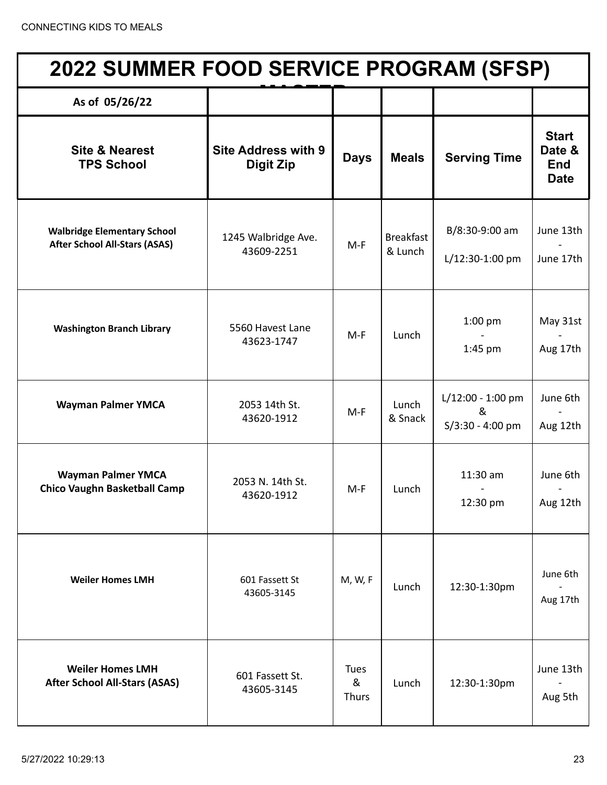| <b>2022 SUMMER FOOD SERVICE PROGRAM (SFSP)</b>                             |                                                |                                  |                             |                                              |                                                     |  |
|----------------------------------------------------------------------------|------------------------------------------------|----------------------------------|-----------------------------|----------------------------------------------|-----------------------------------------------------|--|
| As of 05/26/22                                                             |                                                |                                  |                             |                                              |                                                     |  |
| <b>Site &amp; Nearest</b><br><b>TPS School</b>                             | <b>Site Address with 9</b><br><b>Digit Zip</b> | <b>Days</b>                      | <b>Meals</b>                | <b>Serving Time</b>                          | <b>Start</b><br>Date &<br><b>End</b><br><b>Date</b> |  |
| <b>Walbridge Elementary School</b><br><b>After School All-Stars (ASAS)</b> | 1245 Walbridge Ave.<br>43609-2251              | $M-F$                            | <b>Breakfast</b><br>& Lunch | B/8:30-9:00 am<br>L/12:30-1:00 pm            | June 13th<br>June 17th                              |  |
| <b>Washington Branch Library</b>                                           | 5560 Havest Lane<br>43623-1747                 | $M-F$                            | Lunch                       | $1:00$ pm<br>$1:45$ pm                       | May 31st<br>Aug 17th                                |  |
| <b>Wayman Palmer YMCA</b>                                                  | 2053 14th St.<br>43620-1912                    | $M-F$                            | Lunch<br>& Snack            | L/12:00 - 1:00 pm<br>&<br>$S/3:30 - 4:00$ pm | June 6th<br>Aug 12th                                |  |
| <b>Wayman Palmer YMCA</b><br><b>Chico Vaughn Basketball Camp</b>           | 2053 N. 14th St.<br>43620-1912                 | M-F                              | Lunch                       | 11:30 am<br>12:30 pm                         | June 6th<br>Aug 12th                                |  |
| <b>Weiler Homes LMH</b>                                                    | 601 Fassett St<br>43605-3145                   | M, W, F                          | Lunch                       | 12:30-1:30pm                                 | June 6th<br>Aug 17th                                |  |
| <b>Weiler Homes LMH</b><br><b>After School All-Stars (ASAS)</b>            | 601 Fassett St.<br>43605-3145                  | <b>Tues</b><br>&<br><b>Thurs</b> | Lunch                       | 12:30-1:30pm                                 | June 13th<br>Aug 5th                                |  |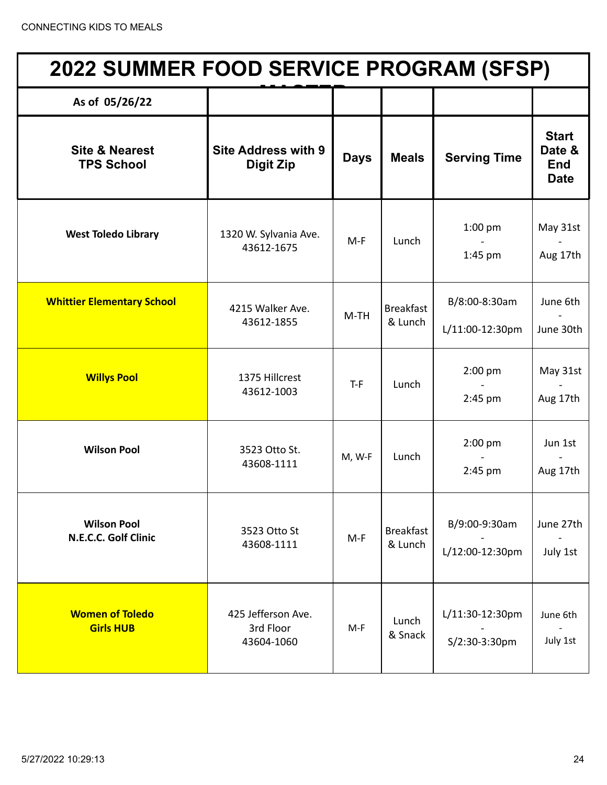| <b>2022 SUMMER FOOD SERVICE PROGRAM (SFSP)</b> |                                                |             |                             |                                  |                                                     |  |  |
|------------------------------------------------|------------------------------------------------|-------------|-----------------------------|----------------------------------|-----------------------------------------------------|--|--|
| As of 05/26/22                                 |                                                |             |                             |                                  |                                                     |  |  |
| <b>Site &amp; Nearest</b><br><b>TPS School</b> | <b>Site Address with 9</b><br><b>Digit Zip</b> | <b>Days</b> | <b>Meals</b>                | <b>Serving Time</b>              | <b>Start</b><br>Date &<br><b>End</b><br><b>Date</b> |  |  |
| <b>West Toledo Library</b>                     | 1320 W. Sylvania Ave.<br>43612-1675            | $M-F$       | Lunch                       | $1:00$ pm<br>1:45 pm             | May 31st<br>Aug 17th                                |  |  |
| <b>Whittier Elementary School</b>              | 4215 Walker Ave.<br>43612-1855                 | $M-TH$      | <b>Breakfast</b><br>& Lunch | B/8:00-8:30am<br>L/11:00-12:30pm | June 6th<br>June 30th                               |  |  |
| <b>Willys Pool</b>                             | 1375 Hillcrest<br>43612-1003                   | $T-F$       | Lunch                       | 2:00 pm<br>$2:45$ pm             | May 31st<br>Aug 17th                                |  |  |
| <b>Wilson Pool</b>                             | 3523 Otto St.<br>43608-1111                    | M, W-F      | Lunch                       | 2:00 pm<br>$2:45$ pm             | Jun 1st<br>Aug 17th                                 |  |  |
| <b>Wilson Pool</b><br>N.E.C.C. Golf Clinic     | 3523 Otto St<br>43608-1111                     | $M-F$       | <b>Breakfast</b><br>& Lunch | B/9:00-9:30am<br>L/12:00-12:30pm | June 27th<br>July 1st                               |  |  |
| <b>Women of Toledo</b><br><b>Girls HUB</b>     | 425 Jefferson Ave.<br>3rd Floor<br>43604-1060  | $M-F$       | Lunch<br>& Snack            | L/11:30-12:30pm<br>S/2:30-3:30pm | June 6th<br>July 1st                                |  |  |